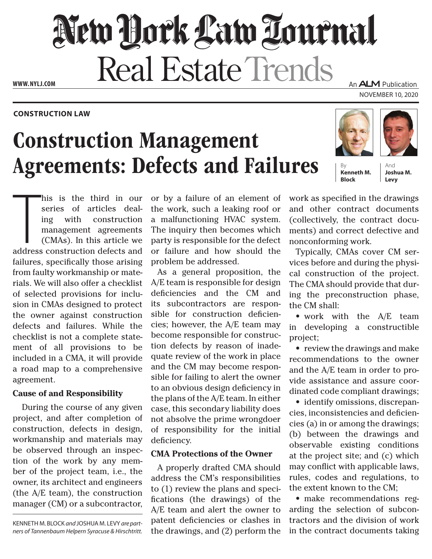# New York Law Tournal **Real Estate Trends** An **ALM** Publication

**www. NYLJ.com**

#### **Construction Law**

## Construction Management Agreements: Defects and Failures





November 10, 2020

**Kenneth M. Block**

And **Joshua M. Levy**

his is the third in our<br>series of articles deal-<br>ing with construction<br>management agreements<br>(CMAs). In this article we<br>address construction defects and his is the third in our series of articles dealing with construction management agreements (CMAs). In this article we failures, specifically those arising from faulty workmanship or materials. We will also offer a checklist of selected provisions for inclusion in CMAs designed to protect the owner against construction defects and failures. While the checklist is not a complete statement of all provisions to be included in a CMA, it will provide a road map to a comprehensive agreement.

### **Cause of and Responsibility**

During the course of any given project, and after completion of construction, defects in design, workmanship and materials may be observed through an inspection of the work by any member of the project team, i.e., the owner, its architect and engineers (the A/E team), the construction manager (CM) or a subcontractor,

Kenneth M. Block *and* Joshua M. Levy *are partners of Tannenbaum Helpern Syracuse & Hirschtritt.* or by a failure of an element of the work, such a leaking roof or a malfunctioning HVAC system. The inquiry then becomes which party is responsible for the defect or failure and how should the problem be addressed.

As a general proposition, the A/E team is responsible for design deficiencies and the CM and its subcontractors are responsible for construction deficiencies; however, the A/E team may become responsible for construction defects by reason of inadequate review of the work in place and the CM may become responsible for failing to alert the owner to an obvious design deficiency in the plans of the A/E team. In either case, this secondary liability does not absolve the prime wrongdoer of responsibility for the initial deficiency.

#### **CMA Protections of the Owner**

A properly drafted CMA should address the CM's responsibilities to (1) review the plans and specifications (the drawings) of the A/E team and alert the owner to patent deficiencies or clashes in the drawings, and (2) perform the

work as specified in the drawings and other contract documents (collectively, the contract documents) and correct defective and nonconforming work.

Typically, CMAs cover CM services before and during the physical construction of the project. The CMA should provide that during the preconstruction phase, the CM shall:

• work with the A/E team in developing a constructible project;

• review the drawings and make recommendations to the owner and the A/E team in order to provide assistance and assure coordinated code compliant drawings;

• identify omissions, discrepancies, inconsistencies and deficiencies (a) in or among the drawings; (b) between the drawings and observable existing conditions at the project site; and (c) which may conflict with applicable laws, rules, codes and regulations, to the extent known to the CM;

• make recommendations regarding the selection of subcontractors and the division of work in the contract documents taking